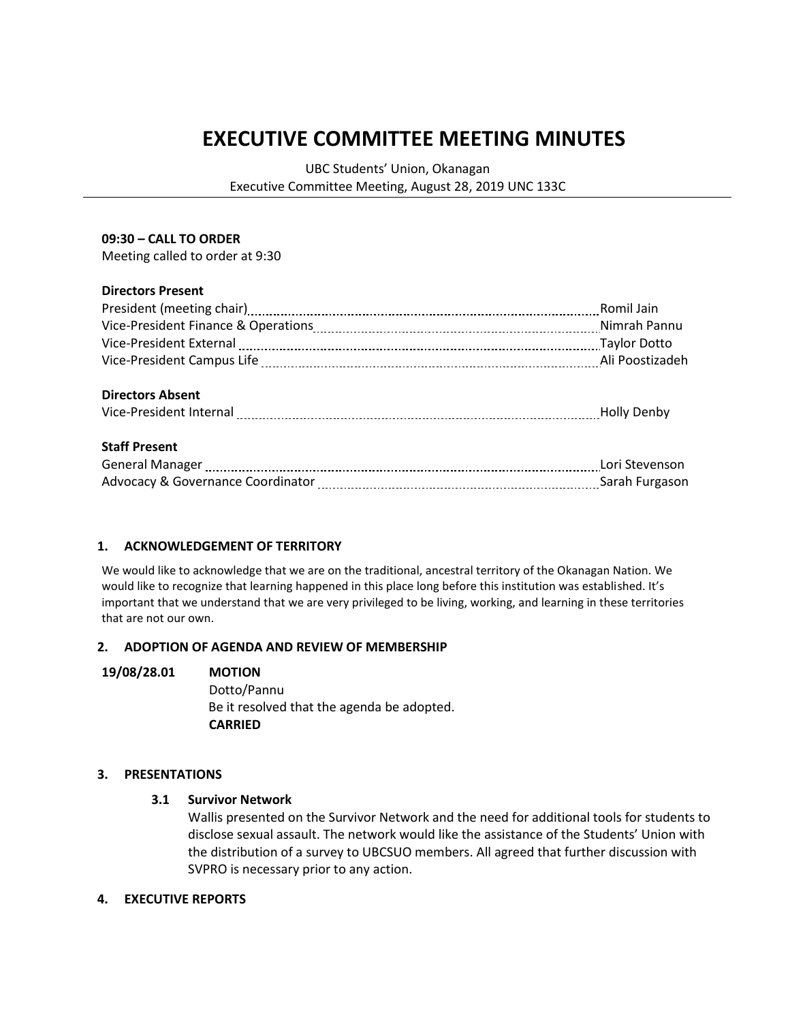# **EXECUTIVE COMMITTEE MEETING MINUTES**

UBC Students' Union, Okanagan Executive Committee Meeting, August 28, 2019 UNC 133C

## **09:30 – CALL TO ORDER**

Meeting called to order at 9:30

## **Directors Present**

|                                                                                                                 | Romil Jain     |
|-----------------------------------------------------------------------------------------------------------------|----------------|
|                                                                                                                 | Nimrah Pannu   |
| Vice-President External [111] Vice-President External [11] Vice-President External [11] Vice-President External |                |
|                                                                                                                 |                |
|                                                                                                                 |                |
| <b>Directors Absent</b>                                                                                         |                |
|                                                                                                                 |                |
|                                                                                                                 |                |
| <b>Staff Present</b>                                                                                            |                |
|                                                                                                                 |                |
|                                                                                                                 | Sarah Furgason |
|                                                                                                                 |                |

## **1. ACKNOWLEDGEMENT OF TERRITORY**

We would like to acknowledge that we are on the traditional, ancestral territory of the Okanagan Nation. We would like to recognize that learning happened in this place long before this institution was established. It's important that we understand that we are very privileged to be living, working, and learning in these territories that are not our own.

#### **2. ADOPTION OF AGENDA AND REVIEW OF MEMBERSHIP**

#### **19/08/28.01 MOTION**

Dotto/Pannu Be it resolved that the agenda be adopted. **CARRIED**

## **3. PRESENTATIONS**

## **3.1 Survivor Network**

Wallis presented on the Survivor Network and the need for additional tools for students to disclose sexual assault. The network would like the assistance of the Students' Union with the distribution of a survey to UBCSUO members. All agreed that further discussion with SVPRO is necessary prior to any action.

#### **4. EXECUTIVE REPORTS**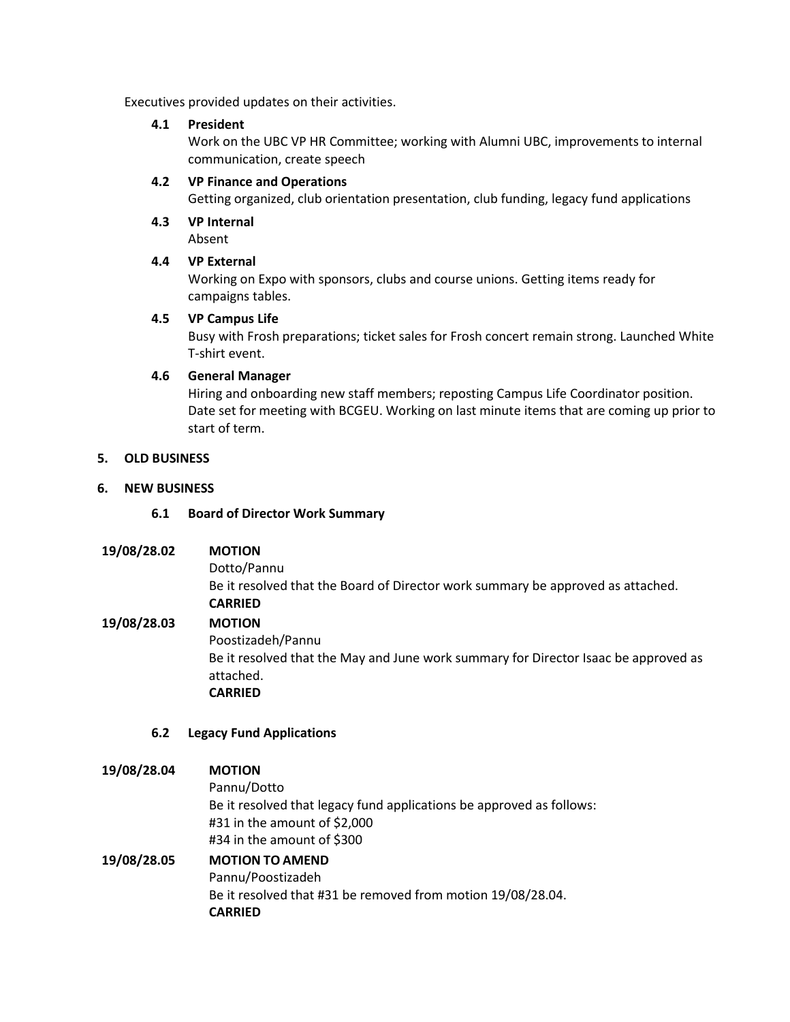Executives provided updates on their activities.

## **4.1 President**

Work on the UBC VP HR Committee; working with Alumni UBC, improvements to internal communication, create speech

## **4.2 VP Finance and Operations**

Getting organized, club orientation presentation, club funding, legacy fund applications

**4.3 VP Internal** Absent

## **4.4 VP External**

Working on Expo with sponsors, clubs and course unions. Getting items ready for campaigns tables.

## **4.5 VP Campus Life**

Busy with Frosh preparations; ticket sales for Frosh concert remain strong. Launched White T-shirt event.

## **4.6 General Manager**

Hiring and onboarding new staff members; reposting Campus Life Coordinator position. Date set for meeting with BCGEU. Working on last minute items that are coming up prior to start of term.

# **5. OLD BUSINESS**

## **6. NEW BUSINESS**

## **6.1 Board of Director Work Summary**

**19/08/28.02 MOTION** Dotto/Pannu Be it resolved that the Board of Director work summary be approved as attached. **CARRIED 19/08/28.03 MOTION** Poostizadeh/Pannu Be it resolved that the May and June work summary for Director Isaac be approved as attached. **CARRIED**

## **6.2 Legacy Fund Applications**

## **19/08/28.04 MOTION**

Pannu/Dotto Be it resolved that legacy fund applications be approved as follows: #31 in the amount of \$2,000 #34 in the amount of \$300

# **19/08/28.05 MOTION TO AMEND** Pannu/Poostizadeh Be it resolved that #31 be removed from motion 19/08/28.04. **CARRIED**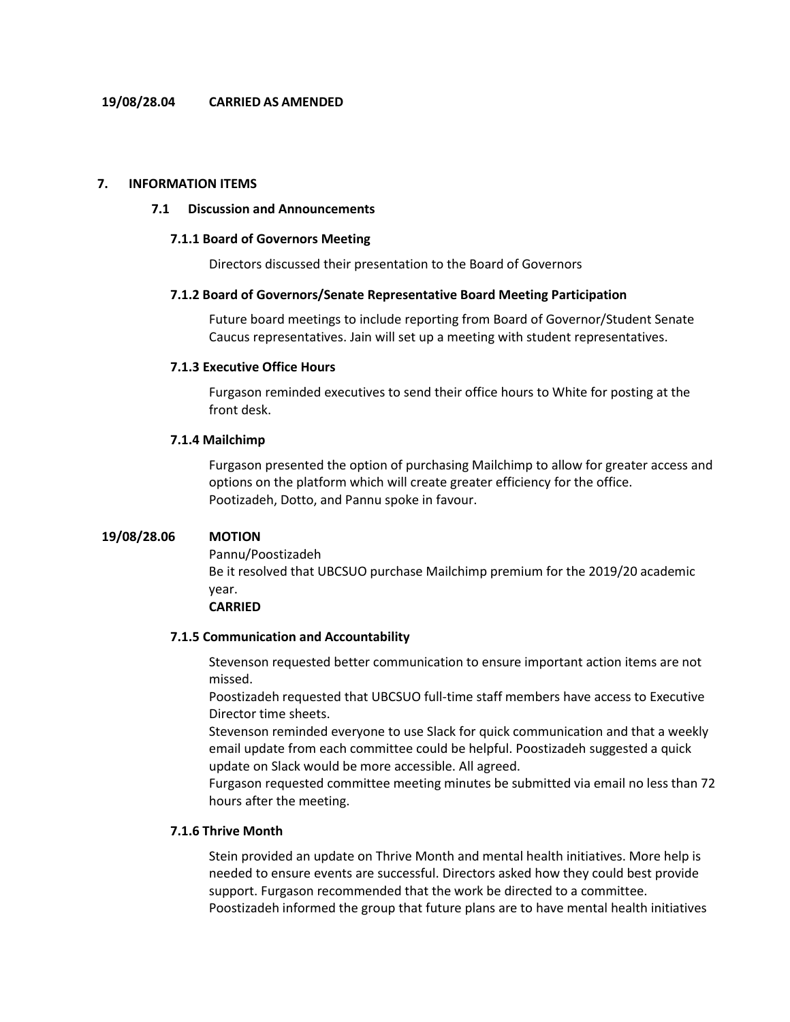#### **7. INFORMATION ITEMS**

#### **7.1 Discussion and Announcements**

#### **7.1.1 Board of Governors Meeting**

Directors discussed their presentation to the Board of Governors

#### **7.1.2 Board of Governors/Senate Representative Board Meeting Participation**

Future board meetings to include reporting from Board of Governor/Student Senate Caucus representatives. Jain will set up a meeting with student representatives.

#### **7.1.3 Executive Office Hours**

Furgason reminded executives to send their office hours to White for posting at the front desk.

#### **7.1.4 Mailchimp**

Furgason presented the option of purchasing Mailchimp to allow for greater access and options on the platform which will create greater efficiency for the office. Pootizadeh, Dotto, and Pannu spoke in favour.

#### **19/08/28.06 MOTION**

Pannu/Poostizadeh Be it resolved that UBCSUO purchase Mailchimp premium for the 2019/20 academic year.

# **CARRIED**

#### **7.1.5 Communication and Accountability**

Stevenson requested better communication to ensure important action items are not missed.

Poostizadeh requested that UBCSUO full-time staff members have access to Executive Director time sheets.

Stevenson reminded everyone to use Slack for quick communication and that a weekly email update from each committee could be helpful. Poostizadeh suggested a quick update on Slack would be more accessible. All agreed.

Furgason requested committee meeting minutes be submitted via email no less than 72 hours after the meeting.

## **7.1.6 Thrive Month**

Stein provided an update on Thrive Month and mental health initiatives. More help is needed to ensure events are successful. Directors asked how they could best provide support. Furgason recommended that the work be directed to a committee. Poostizadeh informed the group that future plans are to have mental health initiatives